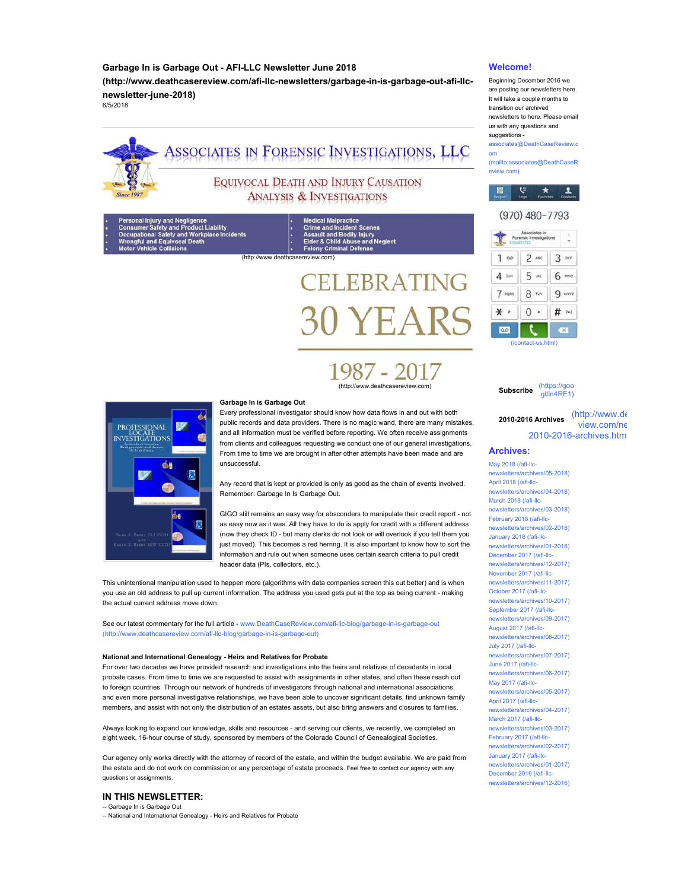# **Garbage In is Garbage Out - AFI-LLC Newsletter June 2018**

**(http://www.deathcasereview.com/afi-llc-newsletters/garbage-in-is-garbage-out-afi-llcnewsletter-june-2018)**

6/5/2018



# ASSOCIATES IN FORENSIC INVESTIGATIONS, LLC

# EQUIVOCAL DEATH AND INJURY CAUSATION **ANALYSIS & INVESTIGATIONS**

ury and Negligence<br>|afety and Product Liability<br>|I Safety and Workplace Incide| cal Death

(a) Medical Malpractice<br>
(a) Crime and Incident Scenes<br>
(a) Assault and Bodily Injury<br>
(a) Elder & Child Abuse and Neglect<br>
(http://www.deathcasereview.com)

# **ELEBRATING** 0 YEARS

1987 - 2017 (http://www.deathcasereview.com)



#### **Garbage In is Garbage Out**

Every professional investigator should know how data flows in and out with both public records and data providers. There is no magic wand, there are many mistakes, and all information must be verified before reporting. We often receive assignments from clients and colleagues requesting we conduct one of our general investigations. From time to time we are brought in after other attempts have been made and are unsuccessful.

Any record that is kept or provided is only as good as the chain of events involved. Remember: Garbage In Is Garbage Out.

GIGO still remains an easy way for absconders to manipulate their credit report - not as easy now as it was. All they have to do is apply for credit with a different address (now they check ID - but many clerks do not look or will overlook if you tell them you just moved). This becomes a red herring. It is also important to know how to sort the information and rule out when someone uses certain search criteria to pull credit header data (PIs, collectors, etc.).

This unintentional manipulation used to happen more (algorithms with data companies screen this out better) and is when you use an old address to pull up current information. The address you used gets put at the top as being current - making the actual current address move down.

See our latest commentary for the full article - www.DeathCaseReview.com/afi-llc-blog/garbage-in-is-garbage-out (http://www.deathcasereview.com/afi-llc-blog/garbage-in-is-garbage-out)

#### **National and International Genealogy - Heirs and Relatives for Probate**

For over two decades we have provided research and investigations into the heirs and relatives of decedents in local probate cases. From time to time we are requested to assist with assignments in other states, and often these reach out to foreign countries. Through our network of hundreds of investigators through national and international associations, and even more personal investigative relationships, we have been able to uncover significant details, find unknown family members, and assist with not only the distribution of an estates assets, but also bring answers and closures to families.

Always looking to expand our knowledge, skills and resources - and serving our clients, we recently, we completed an eight week, 16-hour course of study, sponsored by members of the Colorado Council of Genealogical Societies.

Our agency only works directly with the attorney of record of the estate, and within the budget available. We are paid from the estate and do not work on commission or any percentage of estate proceeds. Feel free to contact our agency with any questions or assignments.

# **IN THIS NEWSLETTER:**

-- Garbage In is Garbage Out -- National and International Genealogy - Heirs and Relatives for Probate

### **Welcome!**

Beginning December 2016 we are posting our newsletters here. It will take a couple months to transition our archived newsletters to here. Please email us with any questions and suggestions -

associates@DeathCaseReview.c om

(mailto:associates@DeathCaseR eview.com)



# (970) 480-7793



**Subscribe** (https://goo  $n$ l/ln4RE1)

**2010-2016 Archives** (http://www.de view.com/ne 2010-2016-archives.htm

#### **Archives:**

May 2018 (/afi-llcnewsletters/archives/05-2018) April 2018 (/afi-llcnewsletters/archives/04-2018) March 2018 (/afi-llcnewsletters/archives/03-2018) February 2018 (/afi-llcnewsletters/archives/02-2018) January 2018 (/afi-llcnewsletters/archives/01-2018) December 2017 (/afi-llcnewsletters/archives/12-2017) November 2017 (/afi-llcnewsletters/archives/11-2017) October 2017 (/afi-llcnewsletters/archives/10-2017) September 2017 (/afi-llcnewsletters/archives/09-2017) August 2017 (/afi-llcnewsletters/archives/08-2017) July 2017 (/afi-llcnewsletters/archives/07-2017) June 2017 (/afi-llcnewsletters/archives/06-2017) May 2017 (/afi-llcrchives/05-2017) April 2017 (/afi-llcnewsletters/archives/04-2017) March 2017 (/afi-llcnewsletters/archives/03-2017) February 2017 (/afi-llcnewsletters/archives/02-2017) January 2017 (/afi-llcnewsletters/archives/01-2017) December 2016 (/afi-llc-

newsletters/archives/12-2016)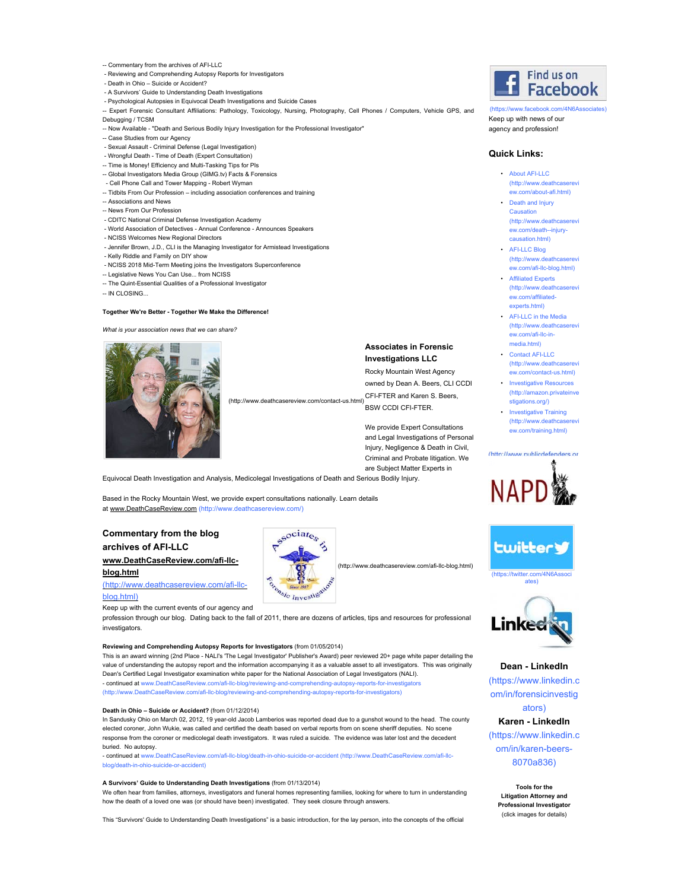#### -- Commentary from the archives of AFI-LLC

- Reviewing and Comprehending Autopsy Reports for Investigators
- Death in Ohio Suicide or Accident?
- A Survivors' Guide to Understanding Death Investigations
- Psychological Autopsies in Equivocal Death Investigations and Suicide Cases
- -- Expert Forensic Consultant Affiliations: Pathology, Toxicology, Nursing, Photography, Cell Phones / Computers, Vehicle GPS, and Debugging / TCSM
- -- Now Available "Death and Serious Bodily Injury Investigation for the Professional Investigator"
- -- Case Studies from our Agency
- Sexual Assault Criminal Defense (Legal Investigation)
- Wrongful Death Time of Death (Expert Consultation)
- -- Time is Money! Efficiency and Multi-Tasking Tips for PIs
- -- Global Investigators Media Group (GIMG.tv) Facts & Forensics
- Cell Phone Call and Tower Mapping Robert Wyman
- -- Tidbits From Our Profession including association conferences and training
- -- Associations and News
- -- News From Our Profession
- CDITC National Criminal Defense Investigation Academy
- World Association of Detectives Annual Conference Announces Speakers
- NCISS Welcomes New Regional Directors
- Jennifer Brown, J.D., CLI is the Managing Investigator for Armistead Investigations
- Kelly Riddle and Family on DIY show
- NCISS 2018 Mid-Term Meeting joins the Investigators Superconference
- -- Legislative News You Can Use... from NCISS
- -- The Quint-Essential Qualities of a Professional Investigator
- -- IN CLOSING...

#### **Together We're Better - Together We Make the Difference!**

*What is your association news that we can share?*



#### **Associates in Forensic Investigations LLC**

Rocky Mountain West Agency owned by Dean A. Beers, CLI CCDI

CFI-FTER and Karen S. Beers, (http://www.deathcasereview.com/contact-us.html)

BSW CCDI CFI-FTER.

We provide Expert Consultations and Legal Investigations of Personal Injury, Negligence & Death in Civil, Criminal and Probate litigation. We are Subject Matter Experts in

Equivocal Death Investigation and Analysis, Medicolegal Investigations of Death and Serious Bodily Injury.

Based in the Rocky Mountain West, we provide expert consultations nationally. Learn details at www.DeathCaseReview.com (http://www.deathcasereview.com/)

# **Commentary from the blog archives of AFI-LLC**

# **www.DeathCaseReview.com/afi-llcblog.html**

#### (http://www.deathcasereview.com/afi-llcblog.html)

Keep up with the current events of our agency and

profession through our blog. Dating back to the fall of 2011, there are dozens of articles, tips and resources for professional investigators

#### **Reviewing and Comprehending Autopsy Reports for Investigators** (from 01/05/2014)

This is an award winning (2nd Place - NALI's 'The Legal Investigator' Publisher's Award) peer reviewed 20+ page white paper detailing the value of understanding the autopsy report and the information accompanying it as a valuable asset to all investigators. This was originally Dean's Certified Legal Investigator examination white paper for the National Association of Legal Investigators (NALI). - continued at www.DeathCaseReview.com/afi-llc-blog/reviewing-and-comprehending-autopsy-reports-for-investigators (http://www.DeathCaseReview.com/afi-llc-blog/reviewing-and-comprehending-autopsy-reports-for-investigators)

#### **Death in Ohio – Suicide or Accident?** (from 01/12/2014)

In Sandusky Ohio on March 02, 2012, 19 year-old Jacob Lamberios was reported dead due to a gunshot wound to the head. The county elected coroner, John Wukie, was called and certified the death based on verbal reports from on scene sheriff deputies. No scene response from the coroner or medicolegal death investigators. It was ruled a suicide. The evidence was later lost and the decedent buried. No autopsy.

- continued at www.DeathCaseReview.com/afi-llc-blog/death-in-ohio-suicide-or-accident (http://www.DeathCaseReview.com/afi-llcblog/death-in-ohio-suicide-or-accident)

#### **A Survivors' Guide to Understanding Death Investigations** (from 01/13/2014)

We often hear from families, attorneys, investigators and funeral homes representing families, looking for where to turn in understanding how the death of a loved one was (or should have been) investigated. They seek closure through answers.

This "Survivors' Guide to Understanding Death Investigations" is a basic introduction, for the lay person, into the concepts of the official



Keep up with news of our agency and profession! (https://www.facebook.com/4N6Asso

#### **Quick Links:**

- $\cdot$  About AFI-LLC (http://www.deathcaserevi ew.com/about-afi.html)
- Death and Injury Causation (http://www.deathcaserevi ew.com/death--injurycausation.html)
- AFI-LLC Blog (http://www.deathcaserevi ew.com/afi-llc-blog.html)
- Affiliated Experts (http://www.deathcaserevi ew.com/affiliatedexperts.html)
- AFI-LLC in the Media (http://www.deathcaserevi ew.com/afi-llc-inmedia.html)
- Contact AFI-LLC (http://www.deathcaserevi ew.com/contact-us.html)
- Investigative Resources (http://amazon.privateinve stigations.org/)
- Investigative Training (http://www.deathcaserevi ew.com/training.html)







#### **Dean - LinkedIn**

(https://www.linkedin.c om/in/forensicinvestig

ators) **Karen - LinkedIn** (https://www.linkedin.c om/in/karen-beers-

#### 8070a836)

**Tools for the Litigation Attorney and Professional Investigator** (click images for details)



- (http://www.deathcasereview.com/afi-llc-blog.html)
	-
- 



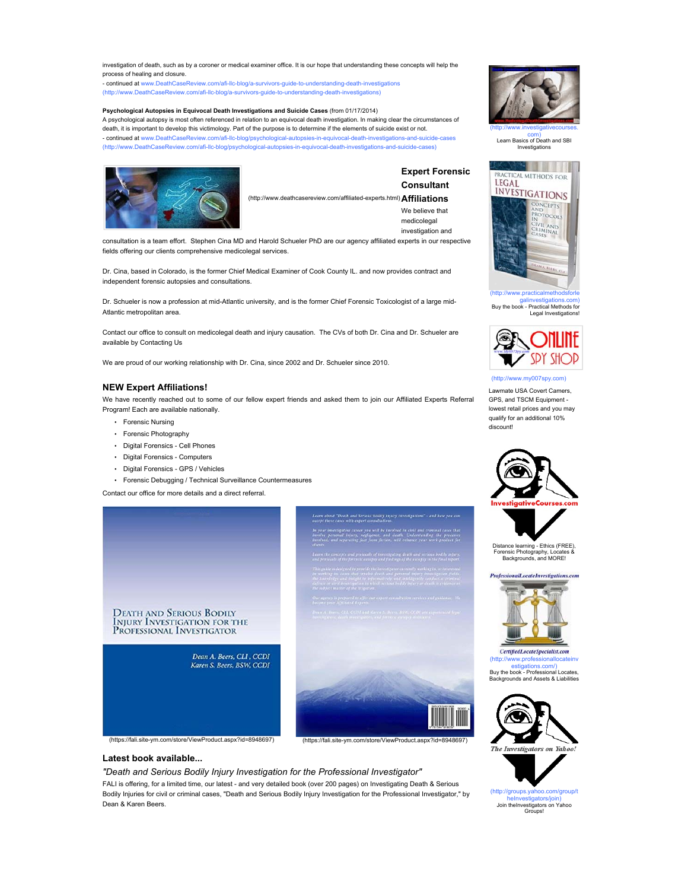investigation of death, such as by a coroner or medical examiner office. It is our hope that understanding these concepts will help the process of healing and closure.

.<br>- <mark>continued at</mark> www.DeathCaseReview.com/afi-llc-blog/a-survivors-guide-to-understanding-death-inv (http://www.DeathCaseReview.com/afi-llc-blog/a-survivors-guide-to-understanding-death-investigations)

#### **Psychological Autopsies in Equivocal Death Investigations and Suicide Cases** (from 01/17/2014)

A psychological autopsy is most often referenced in relation to an equivocal death investigation. In making clear the circumstances of death, it is important to develop this victimology. Part of the purpose is to determine if the elements of suicide exist or not. - continued at www.DeathCaseReview.com/afi-llc-blog/psychological-autopsies-in-equivocal-death-investigations-and-suicide-cases (http://www.DeathCaseReview.com/afi-llc-blog/psychological-autopsies-in-equivocal-death-investigations-and-suicide-cases)



**Expert Forensic Consultant Affiliations** (http://www.deathcasereview.com/affiliated-experts.html) We believe that medicolegal

investigation and

consultation is a team effort. Stephen Cina MD and Harold Schueler PhD are our agency affiliated experts in our respective fields offering our clients comprehensive medicolegal services.

Dr. Cina, based in Colorado, is the former Chief Medical Examiner of Cook County IL. and now provides contract and independent forensic autopsies and consultations.

Dr. Schueler is now a profession at mid-Atlantic university, and is the former Chief Forensic Toxicologist of a large mid-Atlantic metropolitan area.

Contact our office to consult on medicolegal death and injury causation. The CVs of both Dr. Cina and Dr. Schueler are available by Contacting Us

We are proud of our working relationship with Dr. Cina, since 2002 and Dr. Schueler since 2010.

#### **NEW Expert Affiliations!**

We have recently reached out to some of our fellow expert friends and asked them to join our Affiliated Experts Referral Program! Each are available nationally.

- Forensic Nursing
- Forensic Photography
- Digital Forensics Cell Phones
- Digital Forensics Computers
- Digital Forensics GPS / Vehicles
- Forensic Debugging / Technical Surveillance Countermeasures

Contact our office for more details and a direct referral.





(https://fali.site-ym.com/store/ViewProduct.aspx?id=8948697) (https://fali.site-ym.com/store/ViewProduct.aspx?id=8948697)

# **Latest book available...**

*"Death and Serious Bodily Injury Investigation for the Professional Investigator"*

FALI is offering, for a limited time, our latest - and very detailed book (over 200 pages) on Investigating Death & Serious Bodily Injuries for civil or criminal cases, "Death and Serious Bodily Injury Investigation for the Professional Investigator," by Dean & Karen Beers.



(http://www.investigativecourses. com) Learn Basics of Death and SBI us.c.<br>Investiga



galinvestigations.com) Buy the book - Practical Methods for Legal Investigations!



ww.my007spy.com)

Lawmate USA Covert Camers, GPS, and TSCM Equipment lowest retail prices and you may qualify for an additional 10% discount!







CertifiedLocateSpecialist.com (http://www.professionallocateinv estigations.com/) Buy the book - Professional Locates, are book - Frotessional Eccutes,<br>arounds and Assets & Liabilities



(http://groups.yahoo.com/group/t heInvestigators/join) Join theInvestigators on Yahoo Groups!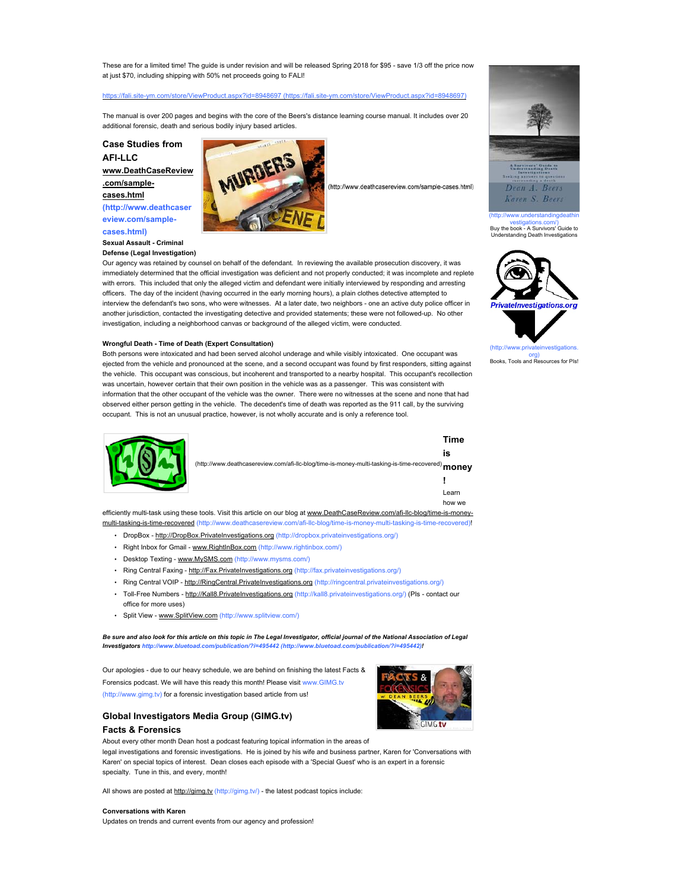These are for a limited time! The guide is under revision and will be released Spring 2018 for \$95 - save 1/3 off the price now at just \$70, including shipping with 50% net proceeds going to FALI!

#### 8948697 (https://fali.site

The manual is over 200 pages and begins with the core of the Beers's distance learning course manual. It includes over 20 additional forensic, death and serious bodily injury based articles.

**Case Studies from** 

**AFI-LLC www.DeathCaseReview**

**.com/samplecases.html (http://www.deathcaser eview.com/sample-**

**cases.html) Sexual Assault - Criminal Defense (Legal Investigation)**



(http://www.deathcasereview.com/sample-cases.html)

Our agency was retained by counsel on behalf of the defendant. In reviewing the available prosecution discovery, it was immediately determined that the official investigation was deficient and not properly conducted; it was incomplete and replete with errors. This included that only the alleged victim and defendant were initially interviewed by responding and arresting officers. The day of the incident (having occurred in the early morning hours), a plain clothes detective attempted to interview the defendant's two sons, who were witnesses. At a later date, two neighbors - one an active duty police officer in another jurisdiction, contacted the investigating detective and provided statements; these were not followed-up. No other investigation, including a neighborhood canvas or background of the alleged victim, were conducted.

#### **Wrongful Death - Time of Death (Expert Consultation)**

Both persons were intoxicated and had been served alcohol underage and while visibly intoxicated. One occupant was ejected from the vehicle and pronounced at the scene, and a second occupant was found by first responders, sitting against the vehicle. This occupant was conscious, but incoherent and transported to a nearby hospital. This occupant's recollection was uncertain, however certain that their own position in the vehicle was as a passenger. This was consistent with information that the other occupant of the vehicle was the owner. There were no witnesses at the scene and none that had observed either person getting in the vehicle. The decedent's time of death was reported as the 911 call, by the surviving occupant. This is not an unusual practice, however, is not wholly accurate and is only a reference tool.



|                                                                                                   | Time   |
|---------------------------------------------------------------------------------------------------|--------|
|                                                                                                   | is     |
| (http://www.deathcasereview.com/afi-llc-blog/time-is-money-multi-tasking-is-time-recovered) money |        |
|                                                                                                   |        |
|                                                                                                   | Learn  |
|                                                                                                   | how we |

efficiently multi-task using these tools. Visit this article on our blog at www.DeathCaseReview.com/afi-llc-blog/time-is-moneymulti-tasking-is-time-recovered (http://www.deathcasereview.com/afi-llc-blog/time-is-money-multi-tasking-is-time-recovered)!

- DropBox http://DropBox.PrivateInvestigations.org (http://dropbox.privateinvestigations.org/)
- Right Inbox for Gmail www.RightInBox.com (http://www.rightinbox.com/)
- Desktop Texting www.MySMS.com (http://www.mysms.com/)
- Ring Central Faxing http://Fax.PrivateInvestigations.org (http://fax.privateinvestigations.org/)
- Ring Central VOIP http://RingCentral.PrivateInvestigations.org (http://ringcentral.privateinvestigations.org/)
- Toll-Free Numbers http://Kall8.PrivateInvestigations.org (http://kall8.privateinvestigations.org/) (PIs contact our office for more uses)
- Split View www.SplitView.com (http://www.splitview.com/)

*Be sure and also look for this article on this topic in The Legal Investigator, official journal of the National Association of Legal Investigators http://www.bluetoad.com/publication/?i=495442 (http://www.bluetoad.com/publication/?i=495442)!*

Our apologies - due to our heavy schedule, we are behind on finishing the latest Facts & Forensics podcast. We will have this ready this month! Please visit www.GIMG.tv (http://www.gimg.tv) for a forensic investigation based article from us!



# **Global Investigators Media Group (GIMG.tv)**

#### **Facts & Forensics**

About every other month Dean host a podcast featuring topical information in the areas of

legal investigations and forensic investigations. He is joined by his wife and business partner, Karen for 'Conversations with Karen' on special topics of interest. Dean closes each episode with a 'Special Guest' who is an expert in a forensic specialty. Tune in this, and every, month!

All shows are posted at http://gimg.tv (http://gimg.tv/) - the latest podcast topics include:

#### **Conversations with Karen**

Updates on trends and current events from our agency and profession!



vestigations.com/) Buy the book - A Survivors' Guide to Understanding Death Investigations



org)<br>Books, Tools and Resources for PIs!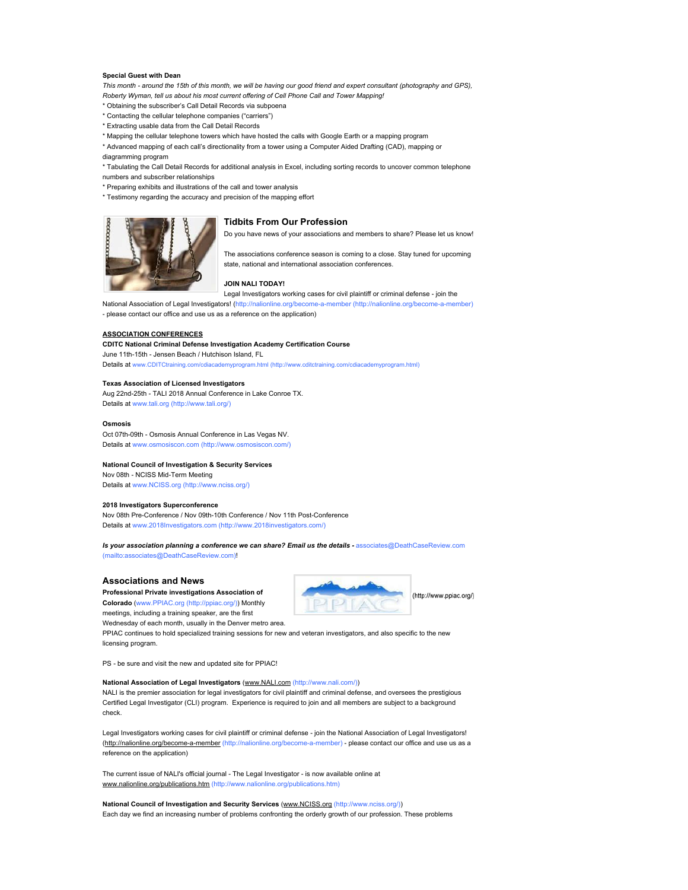#### **Special Guest with Dean**

This month - around the 15th of this month, we will be having our good friend and expert consultant (photography and GPS), *Roberty Wyman, tell us about his most current offering of Cell Phone Call and Tower Mapping!*

\* Obtaining the subscriber's Call Detail Records via subpoena

- \* Contacting the cellular telephone companies ("carriers")
- \* Extracting usable data from the Call Detail Records

\* Mapping the cellular telephone towers which have hosted the calls with Google Earth or a mapping program

\* Advanced mapping of each call's directionality from a tower using a Computer Aided Drafting (CAD), mapping or diagramming program

\* Tabulating the Call Detail Records for additional analysis in Excel, including sorting records to uncover common telephone numbers and subscriber relationships

- \* Preparing exhibits and illustrations of the call and tower analysis
- \* Testimony regarding the accuracy and precision of the mapping effort



#### **Tidbits From Our Profession**

Do you have news of your associations and members to share? Please let us know! The associations conference season is coming to a close. Stay tuned for upcoming

#### **JOIN NALI TODAY!**

Legal Investigators working cases for civil plaintiff or criminal defense - join the

state, national and international association conferences.

National Association of Legal Investigators! (http://nalionline.org/become-a-member (http://nalionline.org/become-a-member) - please contact our office and use us as a reference on the application)

#### **ASSOCIATION CONFERENCES**

# **CDITC National Criminal Defense Investigation Academy Certification Course**

June 11th-15th - Jensen Beach / Hutchison Island, FL Details at www.CDITCtraining.com/cdiacademyprogram.html (http://www.cditctraining.com/cdiacademyprogram.html)

#### **Texas Association of Licensed Investigators**

Aug 22nd-25th - TALI 2018 Annual Conference in Lake Conroe TX. Details at www.tali.org (http://www.tali.org/)

#### **Osmosis**

Oct 07th-09th - Osmosis Annual Conference in Las Vegas NV. Details at www.osmosiscon.com (http://www.osmosiscon.com/)

#### **National Council of Investigation & Security Services**

Nov 08th - NCISS Mid-Term Meeting

Details at www.NCISS.org (http://www.nciss.org/)

#### **2018 Investigators Superconference**

Nov 08th Pre-Conference / Nov 09th-10th Conference / Nov 11th Post-Conference Details at www.2018Investigators.com (http://www.2018investigators.com/)

*Is your association planning a conference we can share? Email us the details - associates@DeathCaseReview.com* (mailto:associates@DeathCaseReview.com)!

#### **Associations and News**

**Professional Private investigations Association of Colorado** (www.PPIAC.org (http://ppiac.org/)) Monthly meetings, including a training speaker, are the first



Wednesday of each month, usually in the Denver metro area. PPIAC continues to hold specialized training sessions for new and veteran investigators, and also specific to the new

licensing program.

PS - be sure and visit the new and updated site for PPIAC!

#### **National Association of Legal Investigators** (www.NALI.com (http://www.nali.com/))

NALI is the premier association for legal investigators for civil plaintiff and criminal defense, and oversees the prestigious Certified Legal Investigator (CLI) program. Experience is required to join and all members are subject to a background check.

Legal Investigators working cases for civil plaintiff or criminal defense - join the National Association of Legal Investigators! (http://nalionline.org/become-a-member (http://nalionline.org/become-a-member) - please contact our office and use us as a reference on the application)

The current issue of NALI's official journal - The Legal Investigator - is now available online at www.nalionline.org/publications.htm (http://www.nalionline.org/publications.htm)

**National Council of Investigation and Security Services** (www.NCISS.org (http://www.nciss.org/)) Each day we find an increasing number of problems confronting the orderly growth of our profession. These problems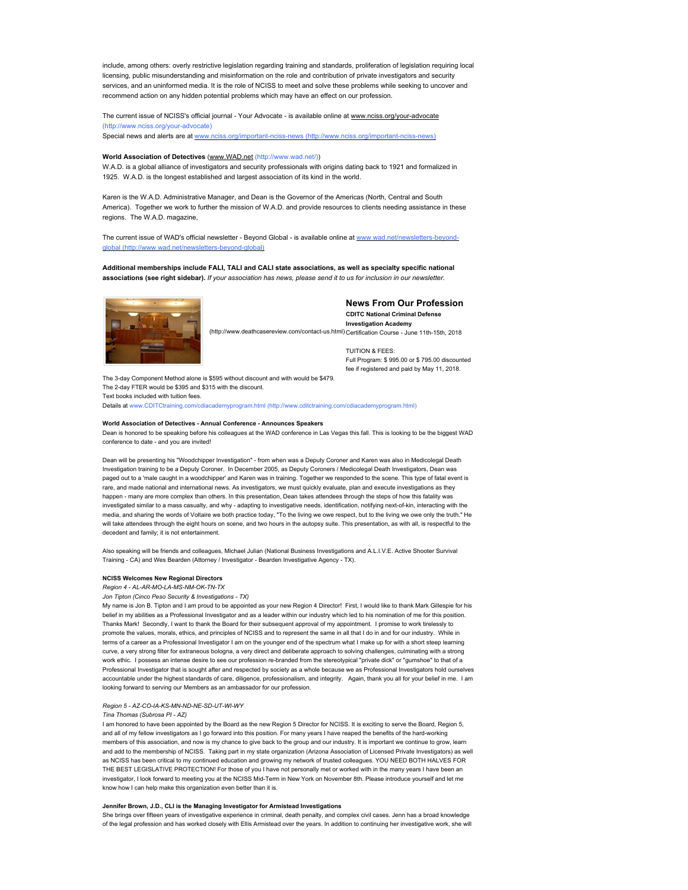include, among others: overly restrictive legislation regarding training and standards, proliferation of legislation requiring local licensing, public misunderstanding and misinformation on the role and contribution of private investigators and security services, and an uninformed media. It is the role of NCISS to meet and solve these problems while seeking to uncover and recommend action on any hidden potential problems which may have an effect on our profession.

The current issue of NCISS's official journal - Your Advocate - is available online at www.nciss.org/your-advocate (http://www.nciss.org/your-advocate) Special news and alerts are at www.

#### **World Association of Detectives** (www.WAD.net (http://www.wad.net/))

W.A.D. is a global alliance of investigators and security professionals with origins dating back to 1921 and formalized in 1925. W.A.D. is the longest established and largest association of its kind in the world.

Karen is the W.A.D. Administrative Manager, and Dean is the Governor of the Americas (North, Central and South America). Together we work to further the mission of W.A.D. and provide resources to clients needing assistance in these regions. The W.A.D. magazine,

The current issue of WAD's official newsletter - Beyond Global - is available online at www.wad.net/n global (http://www.wad.net/newsletters-beyond-global)

**Additional memberships include FALI, TALI and CALI state associations, as well as specialty specific national associations (see right sidebar).**  *If your association has news, please send it to us for inclusion in our newsletter.*



# **News From Our Profession**

**CDITC National Criminal Defense Investigation Academy** (http://www.deathcasereview.com/contact-us.html) Certification Course - June 11th-15th, 2018

> TUITION & FEES: Full Program: \$ 995.00 or \$ 795.00 discounted fee if registered and paid by May 11, 2018.

The 3-day Component Method alone is \$595 without discount and with would be \$479. The 2-day FTER would be \$395 and \$315 with the discount. Text books included with tuition fees. Details at www.CDITCtraining.com/cdiacademyprogram.html (http://www.cditctraining.com/cdiacademyprogram.html)

#### **World Association of Detectives - Annual Conference - Announces Speakers**

Dean is honored to be speaking before his colleagues at the WAD conference in Las Vegas this fall. This is looking to be the biggest WAD conference to date - and you are invited!

Dean will be presenting his "Woodchipper Investigation" - from when was a Deputy Coroner and Karen was also in Medicolegal Death Investigation training to be a Deputy Coroner. In December 2005, as Deputy Coroners / Medicolegal Death Investigators, Dean was paged out to a 'male caught in a woodchipper' and Karen was in training. Together we responded to the scene. This type of fatal event is rare, and made national and international news. As investigators, we must quickly evaluate, plan and execute investigations as they happen - many are more complex than others. In this presentation, Dean takes attendees through the steps of how this fatality was investigated similar to a mass casualty, and why - adapting to investigative needs, identification, notifying next-of-kin, interacting with the media, and sharing the words of Voltaire we both practice today, "To the living we owe respect, but to the living we owe only the truth." He will take attendees through the eight hours on scene, and two hours in the autopsy suite. This presentation, as with all, is respectful to the decedent and family; it is not entertainment.

Also speaking will be friends and colleagues, Michael Julian (National Business Investigations and A.L.I.V.E. Active Shooter Survival Training - CA) and Wes Bearden (Attorney / Investigator - Bearden Investigative Agency - TX).

#### **NCISS Welcomes New Regional Directors**

*Region 4 - AL-AR-MO-LA-MS-NM-OK-TN-TX*

*Jon Tipton (Cinco Peso Security & Investigations - TX)*

My name is Jon B. Tipton and I am proud to be appointed as your new Region 4 Director! First, I would like to thank Mark Gillespie for his belief in my abilities as a Professional Investigator and as a leader within our industry which led to his nomination of me for this position. Thanks Mark! Secondly, I want to thank the Board for their subsequent approval of my appointment. I promise to work tirelessly to promote the values, morals, ethics, and principles of NCISS and to represent the same in all that I do in and for our industry. While in terms of a career as a Professional Investigator I am on the younger end of the spectrum what I make up for with a short steep learning curve, a very strong filter for extraneous bologna, a very direct and deliberate approach to solving challenges, culminating with a strong work ethic. I possess an intense desire to see our profession re-branded from the stereotypical "private dick" or "gumshoe" to that of a Professional Investigator that is sought after and respected by society as a whole because we as Professional Investigators hold ourselves accountable under the highest standards of care, diligence, professionalism, and integrity. Again, thank you all for your belief in me. I am looking forward to serving our Members as an ambassador for our profession.

#### *Region 5 - AZ-CO-IA-KS-MN-ND-NE-SD-UT-WI-WY*

*Tina Thomas (Subrosa PI - AZ)*

I am honored to have been appointed by the Board as the new Region 5 Director for NCISS. It is exciting to serve the Board, Region 5, and all of my fellow investigators as I go forward into this position. For many years I have reaped the benefits of the hard-working members of this association, and now is my chance to give back to the group and our industry. It is important we continue to grow, learn and add to the membership of NCISS. Taking part in my state organization (Arizona Association of Licensed Private Investigators) as well as NCISS has been critical to my continued education and growing my network of trusted colleagues. YOU NEED BOTH HALVES FOR THE BEST LEGISLATIVE PROTECTION! For those of you I have not personally met or worked with in the many years I have been an investigator, I look forward to meeting you at the NCISS Mid-Term in New York on November 8th. Please introduce yourself and let me know how I can help make this organization even better than it is.

#### **Jennifer Brown, J.D., CLI is the Managing Investigator for Armistead Investigations**

She brings over fifteen years of investigative experience in criminal, death penalty, and complex civil cases. Jenn has a broad knowledge of the legal profession and has worked closely with Ellis Armistead over the years. In addition to continuing her investigative work, she will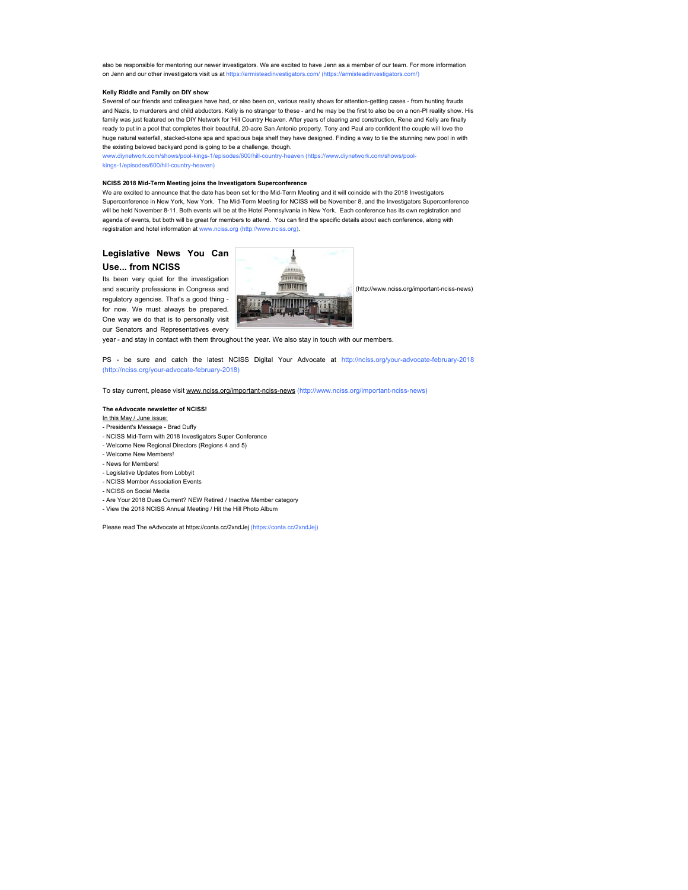also be responsible for mentoring our newer investigators. We are excited to have Jenn as a member of our team. For more information on Jenn and our other investigators visit us at https://armisteadinvestigators.com/ (https://armisteadinvestigators.com/)

#### **Kelly Riddle and Family on DIY show**

Several of our friends and colleagues have had, or also been on, various reality shows for attention-getting cases - from hunting frauds and Nazis, to murderers and child abductors. Kelly is no stranger to these - and he may be the first to also be on a non-PI reality show. His family was just featured on the DIY Network for 'Hill Country Heaven. After years of clearing and construction, Rene and Kelly are finally ready to put in a pool that completes their beautiful, 20-acre San Antonio property. Tony and Paul are confident the couple will love the huge natural waterfall, stacked-stone spa and spacious baja shelf they have designed. Finding a way to tie the stunning new pool in with the existing beloved backyard pond is going to be a challenge, though.

www.diynetwork.com/shows/pool-kings-1/episodes/600/hill-country-heaven (https://www.diynetwork.com/shows/poolkings-1/episodes/600/hill-country-heaven)

#### **NCISS 2018 Mid-Term Meeting joins the Investigators Superconference**

We are excited to announce that the date has been set for the Mid-Term Meeting and it will coincide with the 2018 Investigators Superconference in New York, New York. The Mid-Term Meeting for NCISS will be November 8, and the Investigators Superconference will be held November 8-11. Both events will be at the Hotel Pennsylvania in New York. Each conference has its own registration and agenda of events, but both will be great for members to attend. You can find the specific details about each conference, along with registration and hotel information at www.nciss.org (http://www.nciss.org).

# **Legislative News You Can Use... from NCISS**

Its been very quiet for the investigation and security professions in Congress and regulatory agencies. That's a good thing for now. We must always be prepared. One way we do that is to personally visit our Senators and Representatives every



(http://www.nciss.org/important-nciss-news)

year - and stay in contact with them throughout the year. We also stay in touch with our members.

PS - be sure and catch the latest NCISS Digital Your Advocate at http://nciss.org/your-advocate-february-2018 (http://nciss.org/your-advocate-february-2018)

To stay current, please visit www.nciss.org/important-nciss-news (http://www.nciss.org/important-nciss-news)

#### **The eAdvocate newsletter of NCISS!**

# In this May / June issue:

#### - President's Message - Brad Duffy

- NCISS Mid-Term with 2018 Investigators Super Conference
- Welcome New Regional Directors (Regions 4 and 5)
- Welcome New Members!
- News for Members!
- Legislative Updates from Lobbyit
- NCISS Member Association Events
- NCISS on Social Media
- 
- Are Your 2018 Dues Current? NEW Retired / Inactive Member category
- View the 2018 NCISS Annual Meeting / Hit the Hill Photo Album

Please read The eAdvocate at https://conta.cc/2xndJej (https://conta.cc/2xndJej)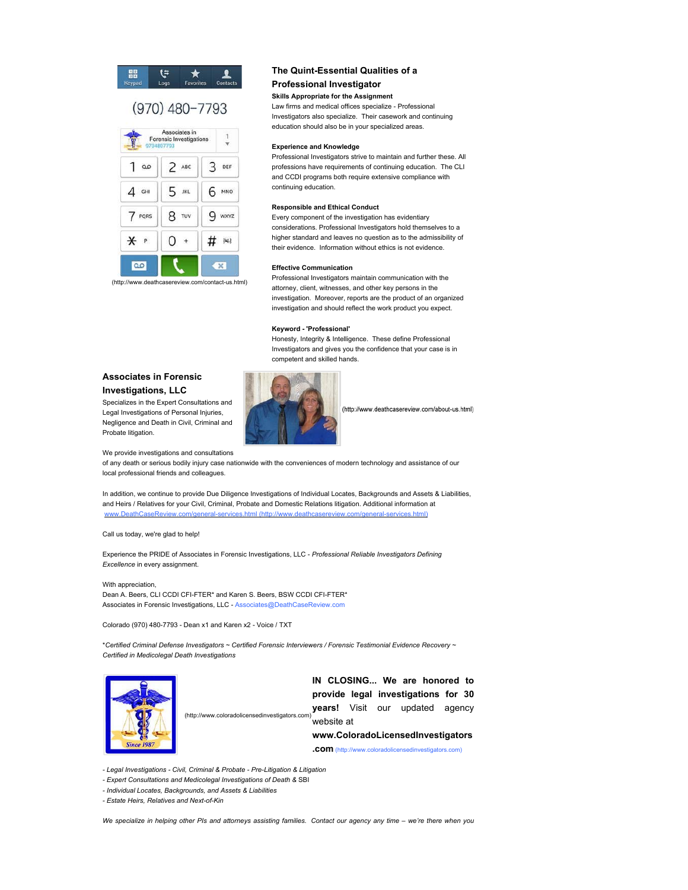#### E) 體 ★

# $(970)$  480-7793



(http://www.deathcasereview.com/contact-us.html)

# **The Quint-Essential Qualities of a**

# **Professional Investigator**

#### **Skills Appropriate for the Assignment**

Law firms and medical offices specialize - Professional Investigators also specialize. Their casework and continuing education should also be in your specialized areas.

#### **Experience and Knowledge**

Professional Investigators strive to maintain and further these. All professions have requirements of continuing education. The CLI and CCDI programs both require extensive compliance with continuing education.

#### **Responsible and Ethical Conduct**

Every component of the investigation has evidentiary considerations. Professional Investigators hold themselves to a higher standard and leaves no question as to the admissibility of their evidence. Information without ethics is not evidence.

#### **Effective Communication**

Professional Investigators maintain communication with the attorney, client, witnesses, and other key persons in the investigation. Moreover, reports are the product of an organized investigation and should reflect the work product you expect.

#### **Keyword - 'Professional'**

Honesty, Integrity & Intelligence. These define Professional Investigators and gives you the confidence that your case is in competent and skilled hands.

(http://www.deathcasereview.com/about-us.html)

# **Associates in Forensic Investigations, LLC**

Specializes in the Expert Consultations and Legal Investigations of Personal Injuries, Negligence and Death in Civil, Criminal and Probate litigation.

We provide investigations and consultations

of any death or serious bodily injury case nationwide with the conveniences of modern technology and assistance of our local professional friends and colleagues.

In addition, we continue to provide Due Diligence Investigations of Individual Locates, Backgrounds and Assets & Liabilities, and Heirs / Relatives for your Civil, Criminal, Probate and Domestic Relations litigation. Additional information at services.html (http://

Call us today, we're glad to help!

Experience the PRIDE of Associates in Forensic Investigations, LLC - *Professional Reliable Investigators Defining*  **Excellence** in every assignment.

With appreciation, Dean A. Beers, CLI CCDI CFI-FTER\* and Karen S. Beers, BSW CCDI CFI-FTER\* Associates in Forensic Investigations, LLC - Associates@DeathCaseReview.com

Colorado (970) 480-7793 - Dean x1 and Karen x2 - Voice / TXT

\* *Certified Criminal Defense Investigators ~ Certified Forensic Interviewers / Forensic Testimonial Evidence Recovery ~ Certified in Medicolegal Death Investigations*



**IN CLOSING... We are honored to provide legal investigations for 30 years!** Visit our updated agency website at **www.ColoradoLicensedInvestigators .com** (http://www.coloradolicensedinvestigators.com) (http://www.coloradolicensedinvestigators.com)

*- Legal Investigations - Civil, Criminal & Probate - Pre-Litigation & Litigation*

- Expert Consultations and Medicolegal Investigations of Death & SBI
- *Individual Locates, Backgrounds, and Assets & Liabilities*

*- Estate Heirs, Relatives and Next-of-Kin*

*We specialize in helping other PIs and attorneys assisting families. Contact our agency any time – we're there when you*